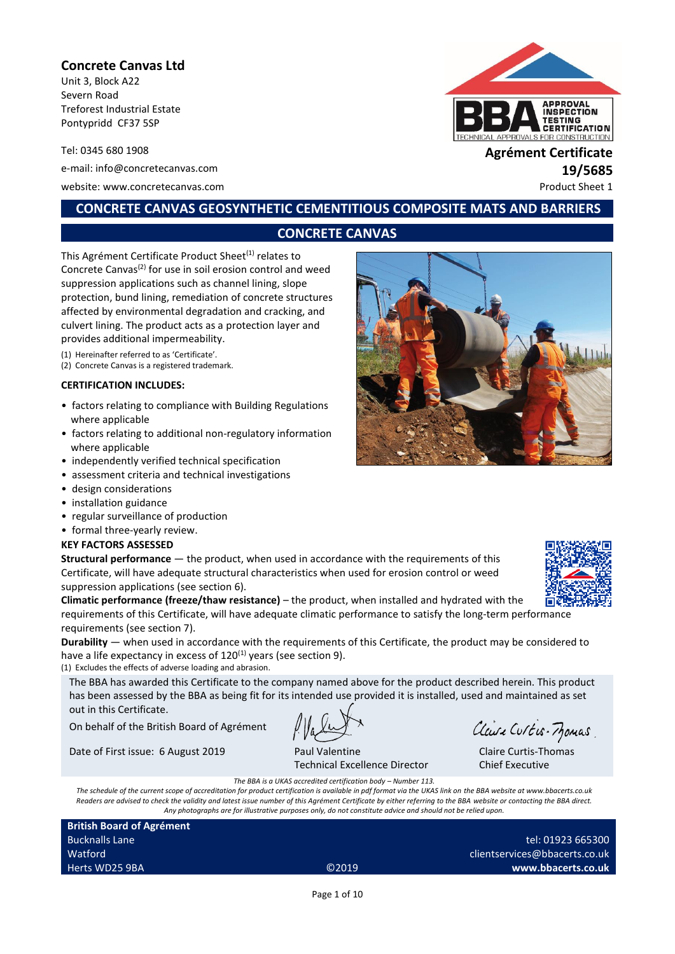## **Concrete Canvas Ltd**

Unit 3, Block A22 Severn Road Treforest Industrial Estate Pontypridd CF37 5SP

Tel: 0345 680 1908 **Agrément Certificate** e-mail: info@concretecanvas.com **19/5685** website: www.concretecanvas.com example and the example of the example of the example of the example of the example of the example of the example of the example of the example of the example of the example of the example o



# **CONCRETE CANVAS GEOSYNTHETIC CEMENTITIOUS COMPOSITE MATS AND BARRIERS**

## **CONCRETE CANVAS**

This Agrément Certificate Product Sheet<sup>(1)</sup> relates to Concrete Canvas<sup>(2)</sup> for use in soil erosion control and weed suppression applications such as channel lining, slope protection, bund lining, remediation of concrete structures affected by environmental degradation and cracking, and culvert lining. The product acts as a protection layer and provides additional impermeability.

(1) Hereinafter referred to as 'Certificate'.

(2) Concrete Canvas is a registered trademark.

#### **CERTIFICATION INCLUDES:**

- factors relating to compliance with Building Regulations where applicable
- factors relating to additional non-regulatory information where applicable
- independently verified technical specification
- assessment criteria and technical investigations
- design considerations
- installation guidance
- regular surveillance of production
- formal three-yearly review.

#### **KEY FACTORS ASSESSED**

**Structural performance** — the product, when used in accordance with the requirements of this Certificate, will have adequate structural characteristics when used for erosion control or weed suppression applications (see section 6).

**Climatic performance (freeze/thaw resistance)** – the product, when installed and hydrated with the requirements of this Certificate, will have adequate climatic performance to satisfy the long-term performance requirements (see section 7).

**Durability** — when used in accordance with the requirements of this Certificate, the product may be considered to have a life expectancy in excess of  $120^{(1)}$  years (see section 9).

(1) Excludes the effects of adverse loading and abrasion.

The BBA has awarded this Certificate to the company named above for the product described herein. This product has been assessed by the BBA as being fit for its intended use provided it is installed, used and maintained as set out in this Certificate.

On behalf of the British Board of Agrément

Date of First issue: 6 August 2019 Paul Valentine

Technical Excellence Director

Clause Curtis-Momas

Claire Curtis-Thomas Chief Executive

*The BBA is a UKAS accredited certification body – Number 113. The schedule of the current scope of accreditation for product certification is available in pdf format via the UKAS link on the BBA website at www.bbacerts.co.uk Readers are advised to check the validity and latest issue number of this Agrément Certificate by either referring to the BBA website or contacting the BBA direct. Any photographs are for illustrative purposes only, do not constitute advice and should not be relied upon.*

**British Board of Agrément** Bucknalls Lane Watford Herts WD25 9BA ©2019

tel: 01923 665300 clientservices@bbacerts.co.uk **www.bbacerts.co.uk**

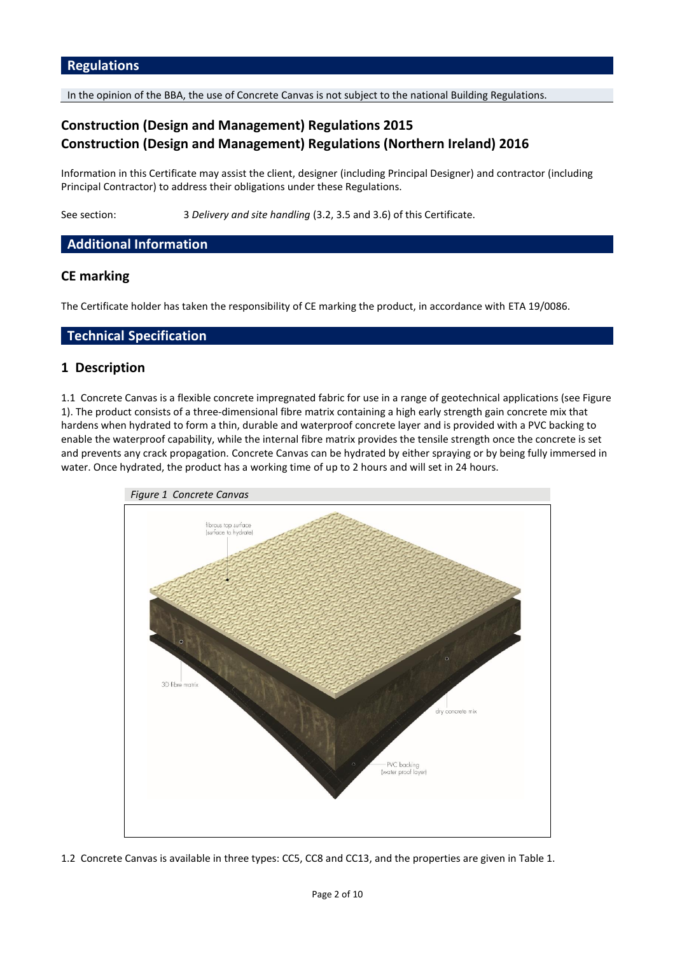In the opinion of the BBA, the use of Concrete Canvas is not subject to the national Building Regulations.

# **Construction (Design and Management) Regulations 2015 Construction (Design and Management) Regulations (Northern Ireland) 2016**

Information in this Certificate may assist the client, designer (including Principal Designer) and contractor (including Principal Contractor) to address their obligations under these Regulations.

See section: 3 *Delivery and site handling* (3.2, 3.5 and 3.6) of this Certificate.

## **Additional Information**

## **CE marking**

The Certificate holder has taken the responsibility of CE marking the product, in accordance with ETA 19/0086.

### **Technical Specification**

## **1 Description**

1.1 Concrete Canvas is a flexible concrete impregnated fabric for use in a range of geotechnical applications (see Figure 1). The product consists of a three-dimensional fibre matrix containing a high early strength gain concrete mix that hardens when hydrated to form a thin, durable and waterproof concrete layer and is provided with a PVC backing to enable the waterproof capability, while the internal fibre matrix provides the tensile strength once the concrete is set and prevents any crack propagation. Concrete Canvas can be hydrated by either spraying or by being fully immersed in water. Once hydrated, the product has a working time of up to 2 hours and will set in 24 hours.



1.2 Concrete Canvas is available in three types: CC5, CC8 and CC13, and the properties are given in Table 1.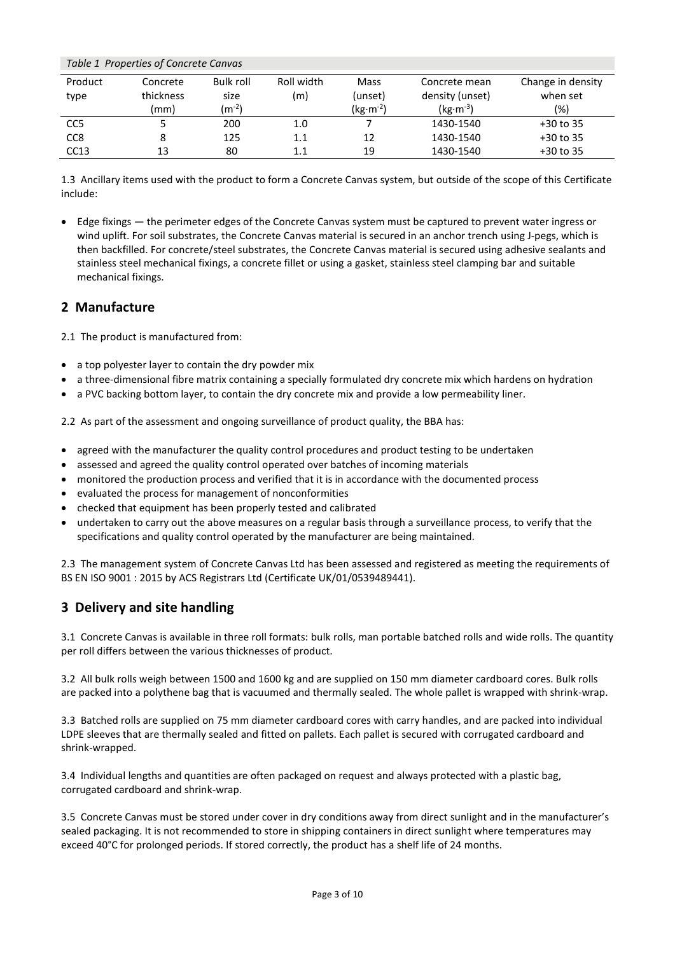| Table 1 Properties of Concrete Canvas |           |                  |            |            |                 |                   |  |
|---------------------------------------|-----------|------------------|------------|------------|-----------------|-------------------|--|
| Product                               | Concrete  | <b>Bulk roll</b> | Roll width | Mass       | Concrete mean   | Change in density |  |
| type                                  | thickness | size             | (m)        | (unset)    | density (unset) | when set          |  |
|                                       | (mm)      | $(m^{-2})$       |            | $(kg·m-2)$ | $(kg·m-3)$      | (%)               |  |
| CC <sub>5</sub>                       |           | 200              | 1.0        |            | 1430-1540       | $+30$ to 35       |  |
| CC <sub>8</sub>                       |           | 125              | 1.1        | 12         | 1430-1540       | $+30$ to 35       |  |
| CC13                                  | 13        | 80               | 1.1        | 19         | 1430-1540       | $+30$ to 35       |  |

1.3 Ancillary items used with the product to form a Concrete Canvas system, but outside of the scope of this Certificate include:

• Edge fixings — the perimeter edges of the Concrete Canvas system must be captured to prevent water ingress or wind uplift. For soil substrates, the Concrete Canvas material is secured in an anchor trench using J-pegs, which is then backfilled. For concrete/steel substrates, the Concrete Canvas material is secured using adhesive sealants and stainless steel mechanical fixings, a concrete fillet or using a gasket, stainless steel clamping bar and suitable mechanical fixings.

## **2 Manufacture**

2.1 The product is manufactured from:

- a top polyester layer to contain the dry powder mix
- a three-dimensional fibre matrix containing a specially formulated dry concrete mix which hardens on hydration
- a PVC backing bottom layer, to contain the dry concrete mix and provide a low permeability liner.

2.2 As part of the assessment and ongoing surveillance of product quality, the BBA has:

- agreed with the manufacturer the quality control procedures and product testing to be undertaken
- assessed and agreed the quality control operated over batches of incoming materials
- monitored the production process and verified that it is in accordance with the documented process
- evaluated the process for management of nonconformities
- checked that equipment has been properly tested and calibrated
- undertaken to carry out the above measures on a regular basis through a surveillance process, to verify that the specifications and quality control operated by the manufacturer are being maintained.

2.3 The management system of Concrete Canvas Ltd has been assessed and registered as meeting the requirements of BS EN ISO 9001 : 2015 by ACS Registrars Ltd (Certificate UK/01/0539489441).

# **3 Delivery and site handling**

3.1 Concrete Canvas is available in three roll formats: bulk rolls, man portable batched rolls and wide rolls. The quantity per roll differs between the various thicknesses of product.

3.2 All bulk rolls weigh between 1500 and 1600 kg and are supplied on 150 mm diameter cardboard cores. Bulk rolls are packed into a polythene bag that is vacuumed and thermally sealed. The whole pallet is wrapped with shrink-wrap.

3.3 Batched rolls are supplied on 75 mm diameter cardboard cores with carry handles, and are packed into individual LDPE sleeves that are thermally sealed and fitted on pallets. Each pallet is secured with corrugated cardboard and shrink-wrapped.

3.4 Individual lengths and quantities are often packaged on request and always protected with a plastic bag, corrugated cardboard and shrink-wrap.

3.5 Concrete Canvas must be stored under cover in dry conditions away from direct sunlight and in the manufacturer's sealed packaging. It is not recommended to store in shipping containers in direct sunlight where temperatures may exceed 40°C for prolonged periods. If stored correctly, the product has a shelf life of 24 months.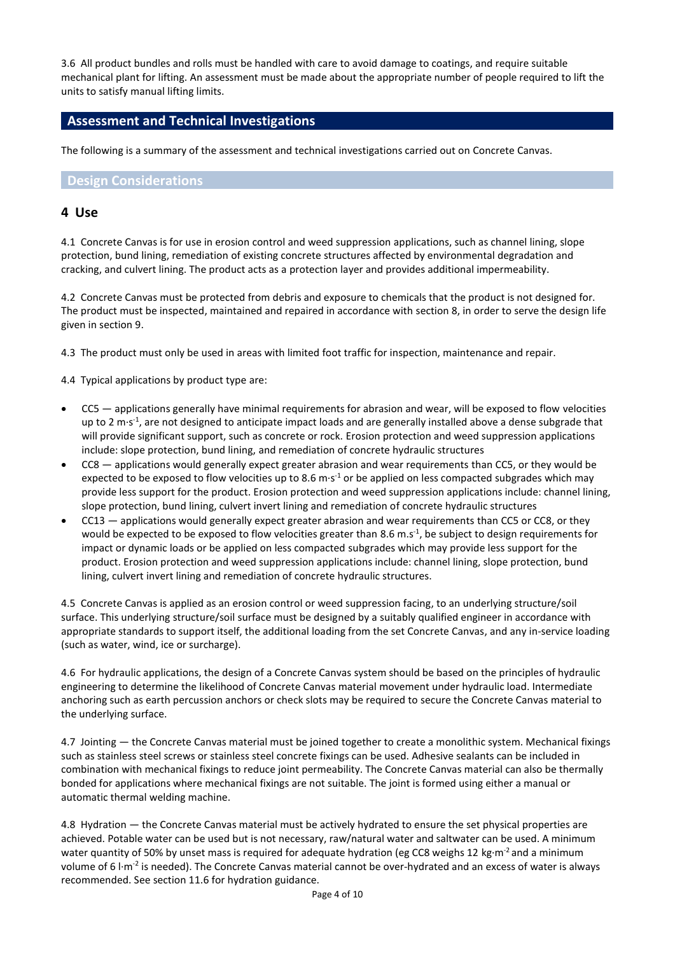3.6 All product bundles and rolls must be handled with care to avoid damage to coatings, and require suitable mechanical plant for lifting. An assessment must be made about the appropriate number of people required to lift the units to satisfy manual lifting limits.

## **Assessment and Technical Investigations**

The following is a summary of the assessment and technical investigations carried out on Concrete Canvas.

### **Design Considerations**

### **4 Use**

4.1 Concrete Canvas is for use in erosion control and weed suppression applications, such as channel lining, slope protection, bund lining, remediation of existing concrete structures affected by environmental degradation and cracking, and culvert lining. The product acts as a protection layer and provides additional impermeability.

4.2 Concrete Canvas must be protected from debris and exposure to chemicals that the product is not designed for. The product must be inspected, maintained and repaired in accordance with section 8, in order to serve the design life given in section 9.

4.3 The product must only be used in areas with limited foot traffic for inspection, maintenance and repair.

4.4 Typical applications by product type are:

- CC5 applications generally have minimal requirements for abrasion and wear, will be exposed to flow velocities up to 2 m·s<sup>-1</sup>, are not designed to anticipate impact loads and are generally installed above a dense subgrade that will provide significant support, such as concrete or rock. Erosion protection and weed suppression applications include: slope protection, bund lining, and remediation of concrete hydraulic structures
- CC8 applications would generally expect greater abrasion and wear requirements than CC5, or they would be expected to be exposed to flow velocities up to 8.6 m·s<sup>-1</sup> or be applied on less compacted subgrades which may provide less support for the product. Erosion protection and weed suppression applications include: channel lining, slope protection, bund lining, culvert invert lining and remediation of concrete hydraulic structures
- CC13 applications would generally expect greater abrasion and wear requirements than CC5 or CC8, or they would be expected to be exposed to flow velocities greater than 8.6 m.s<sup>-1</sup>, be subject to design requirements for impact or dynamic loads or be applied on less compacted subgrades which may provide less support for the product. Erosion protection and weed suppression applications include: channel lining, slope protection, bund lining, culvert invert lining and remediation of concrete hydraulic structures.

4.5 Concrete Canvas is applied as an erosion control or weed suppression facing, to an underlying structure/soil surface. This underlying structure/soil surface must be designed by a suitably qualified engineer in accordance with appropriate standards to support itself, the additional loading from the set Concrete Canvas, and any in-service loading (such as water, wind, ice or surcharge).

4.6 For hydraulic applications, the design of a Concrete Canvas system should be based on the principles of hydraulic engineering to determine the likelihood of Concrete Canvas material movement under hydraulic load. Intermediate anchoring such as earth percussion anchors or check slots may be required to secure the Concrete Canvas material to the underlying surface.

4.7 Jointing — the Concrete Canvas material must be joined together to create a monolithic system. Mechanical fixings such as stainless steel screws or stainless steel concrete fixings can be used. Adhesive sealants can be included in combination with mechanical fixings to reduce joint permeability. The Concrete Canvas material can also be thermally bonded for applications where mechanical fixings are not suitable. The joint is formed using either a manual or automatic thermal welding machine.

4.8 Hydration — the Concrete Canvas material must be actively hydrated to ensure the set physical properties are achieved. Potable water can be used but is not necessary, raw/natural water and saltwater can be used. A minimum water quantity of 50% by unset mass is required for adequate hydration (eg CC8 weighs 12 kg·m<sup>-2</sup> and a minimum volume of 6 l·m<sup>-2</sup> is needed). The Concrete Canvas material cannot be over-hydrated and an excess of water is always recommended. See section 11.6 for hydration guidance.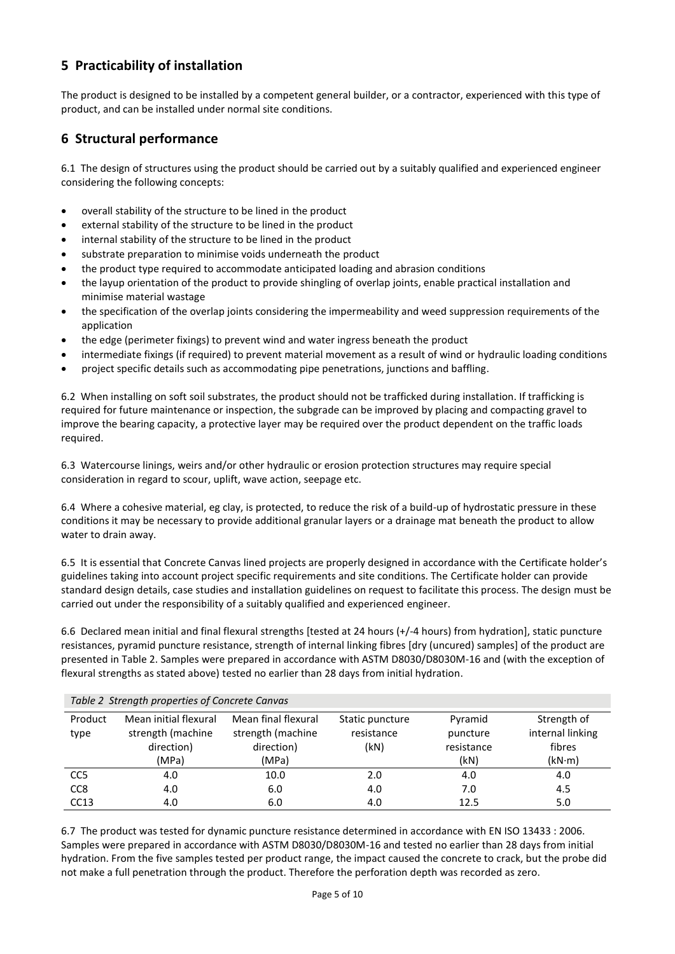# **5 Practicability of installation**

The product is designed to be installed by a competent general builder, or a contractor, experienced with this type of product, and can be installed under normal site conditions.

## **6 Structural performance**

6.1 The design of structures using the product should be carried out by a suitably qualified and experienced engineer considering the following concepts:

- overall stability of the structure to be lined in the product
- external stability of the structure to be lined in the product
- internal stability of the structure to be lined in the product
- substrate preparation to minimise voids underneath the product
- the product type required to accommodate anticipated loading and abrasion conditions
- the layup orientation of the product to provide shingling of overlap joints, enable practical installation and minimise material wastage
- the specification of the overlap joints considering the impermeability and weed suppression requirements of the application
- the edge (perimeter fixings) to prevent wind and water ingress beneath the product
- intermediate fixings (if required) to prevent material movement as a result of wind or hydraulic loading conditions
- project specific details such as accommodating pipe penetrations, junctions and baffling.

6.2 When installing on soft soil substrates, the product should not be trafficked during installation. If trafficking is required for future maintenance or inspection, the subgrade can be improved by placing and compacting gravel to improve the bearing capacity, a protective layer may be required over the product dependent on the traffic loads required.

6.3 Watercourse linings, weirs and/or other hydraulic or erosion protection structures may require special consideration in regard to scour, uplift, wave action, seepage etc.

6.4 Where a cohesive material, eg clay, is protected, to reduce the risk of a build-up of hydrostatic pressure in these conditions it may be necessary to provide additional granular layers or a drainage mat beneath the product to allow water to drain away.

6.5 It is essential that Concrete Canvas lined projects are properly designed in accordance with the Certificate holder's guidelines taking into account project specific requirements and site conditions. The Certificate holder can provide standard design details, case studies and installation guidelines on request to facilitate this process. The design must be carried out under the responsibility of a suitably qualified and experienced engineer.

6.6 Declared mean initial and final flexural strengths [tested at 24 hours (+/-4 hours) from hydration], static puncture resistances, pyramid puncture resistance, strength of internal linking fibres [dry (uncured) samples] of the product are presented in Table 2. Samples were prepared in accordance with ASTM D8030/D8030M-16 and (with the exception of flexural strengths as stated above) tested no earlier than 28 days from initial hydration.

| Table 2 Strength properties of Concrete Canvas |                                                                   |                                                                 |                                       |                                           |                                                     |  |  |  |
|------------------------------------------------|-------------------------------------------------------------------|-----------------------------------------------------------------|---------------------------------------|-------------------------------------------|-----------------------------------------------------|--|--|--|
| Product<br>type                                | Mean initial flexural<br>strength (machine<br>direction)<br>(MPa) | Mean final flexural<br>strength (machine<br>direction)<br>(MPa) | Static puncture<br>resistance<br>(kN) | Pyramid<br>puncture<br>resistance<br>(kN) | Strength of<br>internal linking<br>fibres<br>(kN·m) |  |  |  |
| CC <sub>5</sub>                                | 4.0                                                               | 10.0                                                            | 2.0                                   | 4.0                                       | 4.0                                                 |  |  |  |
| CC <sub>8</sub>                                | 4.0                                                               | 6.0                                                             | 4.0                                   | 7.0                                       | 4.5                                                 |  |  |  |
| CC13                                           | 4.0                                                               | 6.0                                                             | 4.0                                   | 12.5                                      | 5.0                                                 |  |  |  |

6.7 The product was tested for dynamic puncture resistance determined in accordance with EN ISO 13433 : 2006. Samples were prepared in accordance with ASTM D8030/D8030M-16 and tested no earlier than 28 days from initial hydration. From the five samples tested per product range, the impact caused the concrete to crack, but the probe did not make a full penetration through the product. Therefore the perforation depth was recorded as zero.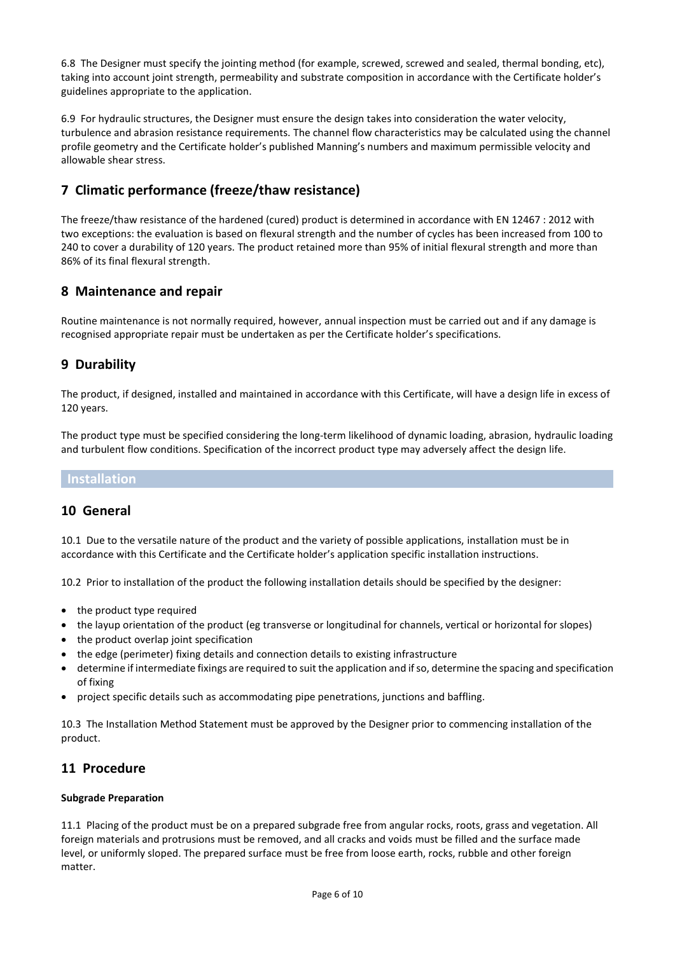6.8 The Designer must specify the jointing method (for example, screwed, screwed and sealed, thermal bonding, etc), taking into account joint strength, permeability and substrate composition in accordance with the Certificate holder's guidelines appropriate to the application.

6.9 For hydraulic structures, the Designer must ensure the design takes into consideration the water velocity, turbulence and abrasion resistance requirements. The channel flow characteristics may be calculated using the channel profile geometry and the Certificate holder's published Manning's numbers and maximum permissible velocity and allowable shear stress.

# **7 Climatic performance (freeze/thaw resistance)**

The freeze/thaw resistance of the hardened (cured) product is determined in accordance with EN 12467 : 2012 with two exceptions: the evaluation is based on flexural strength and the number of cycles has been increased from 100 to 240 to cover a durability of 120 years. The product retained more than 95% of initial flexural strength and more than 86% of its final flexural strength.

# **8 Maintenance and repair**

Routine maintenance is not normally required, however, annual inspection must be carried out and if any damage is recognised appropriate repair must be undertaken as per the Certificate holder's specifications.

# **9 Durability**

The product, if designed, installed and maintained in accordance with this Certificate, will have a design life in excess of 120 years.

The product type must be specified considering the long-term likelihood of dynamic loading, abrasion, hydraulic loading and turbulent flow conditions. Specification of the incorrect product type may adversely affect the design life.

# **Installation**

## **10 General**

10.1 Due to the versatile nature of the product and the variety of possible applications, installation must be in accordance with this Certificate and the Certificate holder's application specific installation instructions.

10.2 Prior to installation of the product the following installation details should be specified by the designer:

- the product type required
- the layup orientation of the product (eg transverse or longitudinal for channels, vertical or horizontal for slopes)
- the product overlap joint specification
- the edge (perimeter) fixing details and connection details to existing infrastructure
- determine if intermediate fixings are required to suit the application and if so, determine the spacing and specification of fixing
- project specific details such as accommodating pipe penetrations, junctions and baffling.

10.3 The Installation Method Statement must be approved by the Designer prior to commencing installation of the product.

# **11 Procedure**

### **Subgrade Preparation**

11.1 Placing of the product must be on a prepared subgrade free from angular rocks, roots, grass and vegetation. All foreign materials and protrusions must be removed, and all cracks and voids must be filled and the surface made level, or uniformly sloped. The prepared surface must be free from loose earth, rocks, rubble and other foreign matter.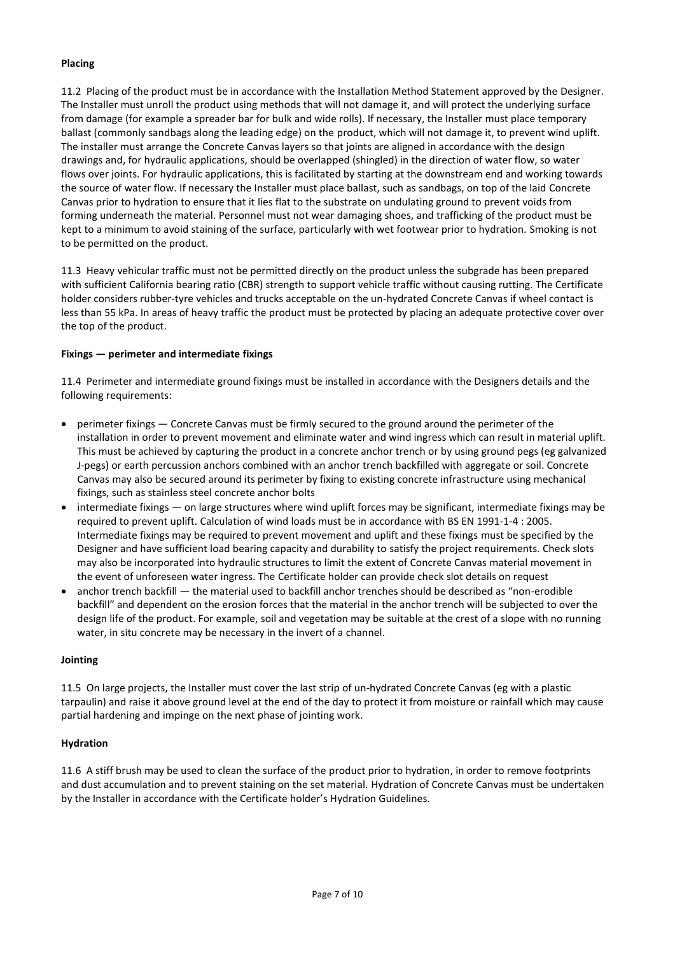### **Placing**

11.2 Placing of the product must be in accordance with the Installation Method Statement approved by the Designer. The Installer must unroll the product using methods that will not damage it, and will protect the underlying surface from damage (for example a spreader bar for bulk and wide rolls). If necessary, the Installer must place temporary ballast (commonly sandbags along the leading edge) on the product, which will not damage it, to prevent wind uplift. The installer must arrange the Concrete Canvas layers so that joints are aligned in accordance with the design drawings and, for hydraulic applications, should be overlapped (shingled) in the direction of water flow, so water flows over joints. For hydraulic applications, this is facilitated by starting at the downstream end and working towards the source of water flow. If necessary the Installer must place ballast, such as sandbags, on top of the laid Concrete Canvas prior to hydration to ensure that it lies flat to the substrate on undulating ground to prevent voids from forming underneath the material. Personnel must not wear damaging shoes, and trafficking of the product must be kept to a minimum to avoid staining of the surface, particularly with wet footwear prior to hydration. Smoking is not to be permitted on the product.

11.3 Heavy vehicular traffic must not be permitted directly on the product unless the subgrade has been prepared with sufficient California bearing ratio (CBR) strength to support vehicle traffic without causing rutting. The Certificate holder considers rubber-tyre vehicles and trucks acceptable on the un-hydrated Concrete Canvas if wheel contact is less than 55 kPa. In areas of heavy traffic the product must be protected by placing an adequate protective cover over the top of the product.

#### **Fixings — perimeter and intermediate fixings**

11.4 Perimeter and intermediate ground fixings must be installed in accordance with the Designers details and the following requirements:

- perimeter fixings Concrete Canvas must be firmly secured to the ground around the perimeter of the installation in order to prevent movement and eliminate water and wind ingress which can result in material uplift. This must be achieved by capturing the product in a concrete anchor trench or by using ground pegs (eg galvanized J-pegs) or earth percussion anchors combined with an anchor trench backfilled with aggregate or soil. Concrete Canvas may also be secured around its perimeter by fixing to existing concrete infrastructure using mechanical fixings, such as stainless steel concrete anchor bolts
- intermediate fixings on large structures where wind uplift forces may be significant, intermediate fixings may be required to prevent uplift. Calculation of wind loads must be in accordance with BS EN 1991-1-4 : 2005. Intermediate fixings may be required to prevent movement and uplift and these fixings must be specified by the Designer and have sufficient load bearing capacity and durability to satisfy the project requirements. Check slots may also be incorporated into hydraulic structures to limit the extent of Concrete Canvas material movement in the event of unforeseen water ingress. The Certificate holder can provide check slot details on request
- anchor trench backfill the material used to backfill anchor trenches should be described as "non-erodible backfill" and dependent on the erosion forces that the material in the anchor trench will be subjected to over the design life of the product. For example, soil and vegetation may be suitable at the crest of a slope with no running water, in situ concrete may be necessary in the invert of a channel.

#### **Jointing**

11.5 On large projects, the Installer must cover the last strip of un-hydrated Concrete Canvas (eg with a plastic tarpaulin) and raise it above ground level at the end of the day to protect it from moisture or rainfall which may cause partial hardening and impinge on the next phase of jointing work.

#### **Hydration**

11.6 A stiff brush may be used to clean the surface of the product prior to hydration, in order to remove footprints and dust accumulation and to prevent staining on the set material. Hydration of Concrete Canvas must be undertaken by the Installer in accordance with the Certificate holder's Hydration Guidelines.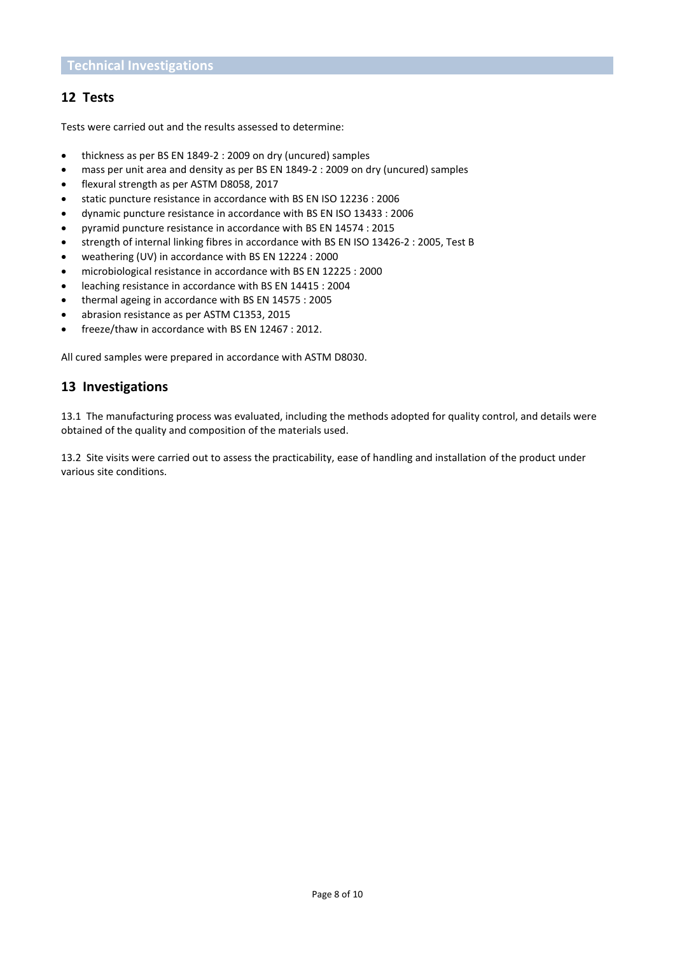## **12 Tests**

Tests were carried out and the results assessed to determine:

- thickness as per BS EN 1849-2 : 2009 on dry (uncured) samples
- mass per unit area and density as per BS EN 1849-2 : 2009 on dry (uncured) samples
- flexural strength as per ASTM D8058, 2017
- static puncture resistance in accordance with BS EN ISO 12236 : 2006
- dynamic puncture resistance in accordance with BS EN ISO 13433 : 2006
- pyramid puncture resistance in accordance with BS EN 14574 : 2015
- strength of internal linking fibres in accordance with BS EN ISO 13426-2 : 2005, Test B
- weathering (UV) in accordance with BS EN 12224 : 2000
- microbiological resistance in accordance with BS EN 12225 : 2000
- leaching resistance in accordance with BS EN 14415 : 2004
- thermal ageing in accordance with BS EN 14575 : 2005
- abrasion resistance as per ASTM C1353, 2015
- freeze/thaw in accordance with BS EN 12467 : 2012.

All cured samples were prepared in accordance with ASTM D8030.

## **13 Investigations**

13.1 The manufacturing process was evaluated, including the methods adopted for quality control, and details were obtained of the quality and composition of the materials used.

13.2 Site visits were carried out to assess the practicability, ease of handling and installation of the product under various site conditions.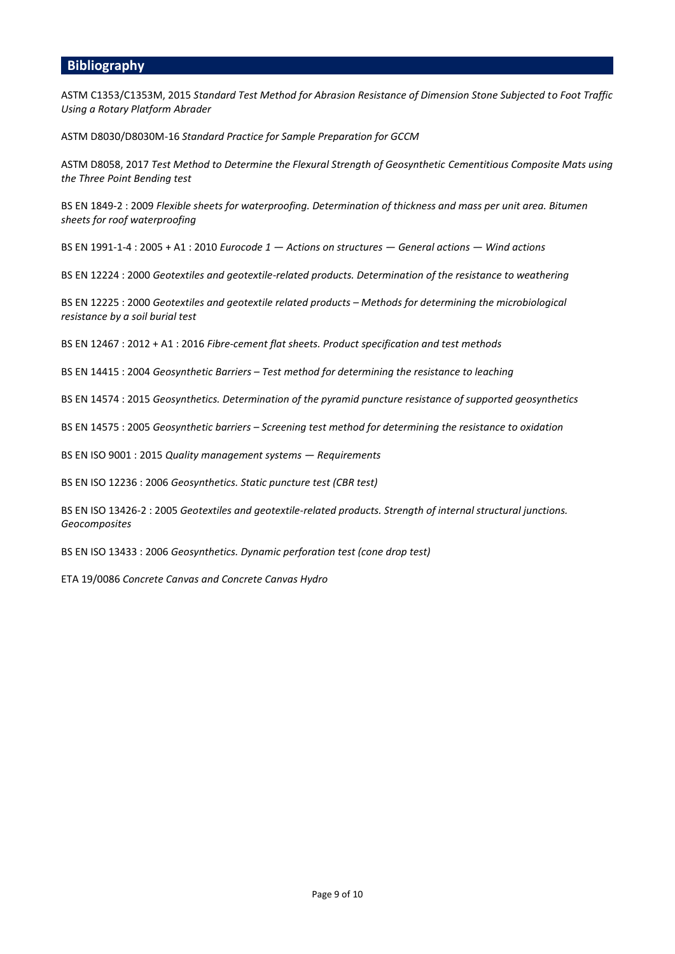### **Bibliography**

ASTM C1353/C1353M, 2015 *Standard Test Method for Abrasion Resistance of Dimension Stone Subjected to Foot Traffic Using a Rotary Platform Abrader*

ASTM D8030/D8030M-16 *Standard Practice for Sample Preparation for GCCM*

ASTM D8058, 2017 *Test Method to Determine the Flexural Strength of Geosynthetic Cementitious Composite Mats using the Three Point Bending test*

BS EN 1849-2 : 2009 *Flexible sheets for waterproofing. Determination of thickness and mass per unit area. Bitumen sheets for roof waterproofing*

BS EN 1991-1-4 : 2005 + A1 : 2010 *Eurocode 1 — Actions on structures — General actions — Wind actions*

BS EN 12224 : 2000 *Geotextiles and geotextile-related products. Determination of the resistance to weathering*

BS EN 12225 : 2000 *Geotextiles and geotextile related products – Methods for determining the microbiological resistance by a soil burial test*

BS EN 12467 : 2012 + A1 : 2016 *Fibre-cement flat sheets. Product specification and test methods*

BS EN 14415 : 2004 *Geosynthetic Barriers – Test method for determining the resistance to leaching*

BS EN 14574 : 2015 *Geosynthetics. Determination of the pyramid puncture resistance of supported geosynthetics*

BS EN 14575 : 2005 *Geosynthetic barriers – Screening test method for determining the resistance to oxidation*

BS EN ISO 9001 : 2015 *Quality management systems — Requirements*

BS EN ISO 12236 : 2006 *Geosynthetics. Static puncture test (CBR test)*

BS EN ISO 13426-2 : 2005 *Geotextiles and geotextile-related products. Strength of internal structural junctions. Geocomposites*

BS EN ISO 13433 : 2006 *Geosynthetics. Dynamic perforation test (cone drop test)*

ETA 19/0086 *Concrete Canvas and Concrete Canvas Hydro*